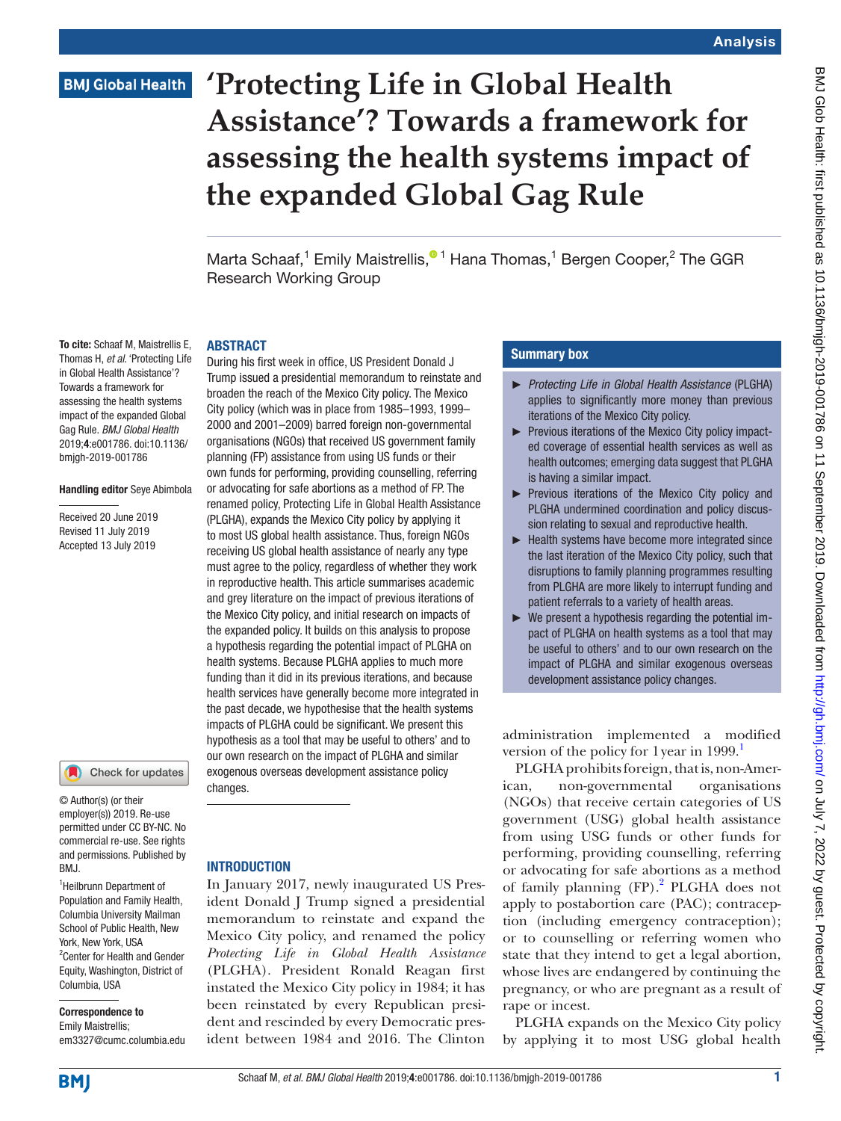# **BMJ Global Health**

# **'Protecting Life in Global Health Assistance'? Towards a framework for assessing the health systems impact of the expanded Global Gag Rule**

Marta Schaaf[,](http://orcid.org/0000-0002-3514-6566)<sup>1</sup> Emily Maistrellis,<sup>01</sup> Hana Thomas,<sup>1</sup> Bergen Cooper,<sup>2</sup> The GGR Research Working Group

#### **ARSTRACT**

To cite: Schaaf M, Maistrellis E, Thomas H, *et al*. 'Protecting Life in Global Health Assistance'? Towards a framework for assessing the health systems impact of the expanded Global Gag Rule. *BMJ Global Health* 2019;4:e001786. doi:10.1136/ bmjgh-2019-001786

#### Handling editor Seye Abimbola

Received 20 June 2019 Revised 11 July 2019 Accepted 13 July 2019



© Author(s) (or their employer(s)) 2019. Re-use permitted under CC BY-NC. No commercial re-use. See rights and permissions. Published by BMJ.

1 Heilbrunn Department of Population and Family Health, Columbia University Mailman School of Public Health, New York, New York, USA <sup>2</sup> Center for Health and Gender Equity, Washington, District of Columbia, USA

# Correspondence to

Emily Maistrellis; em3327@cumc.columbia.edu During his first week in office, US President Donald J Trump issued a presidential memorandum to reinstate and broaden the reach of the Mexico City policy. The Mexico City policy (which was in place from 1985–1993, 1999– 2000 and 2001–2009) barred foreign non-governmental organisations (NGOs) that received US government family planning (FP) assistance from using US funds or their own funds for performing, providing counselling, referring or advocating for safe abortions as a method of FP. The renamed policy, Protecting Life in Global Health Assistance (PLGHA), expands the Mexico City policy by applying it to most US global health assistance. Thus, foreign NGOs receiving US global health assistance of nearly any type must agree to the policy, regardless of whether they work in reproductive health. This article summarises academic and grey literature on the impact of previous iterations of the Mexico City policy, and initial research on impacts of the expanded policy. It builds on this analysis to propose a hypothesis regarding the potential impact of PLGHA on health systems. Because PLGHA applies to much more funding than it did in its previous iterations, and because health services have generally become more integrated in the past decade, we hypothesise that the health systems impacts of PLGHA could be significant. We present this hypothesis as a tool that may be useful to others' and to our own research on the impact of PLGHA and similar exogenous overseas development assistance policy changes.

# **INTRODUCTION**

In January 2017, newly inaugurated US President Donald J Trump signed a presidential memorandum to reinstate and expand the Mexico City policy, and renamed the policy *Protecting Life in Global Health Assistance* (PLGHA). President Ronald Reagan first instated the Mexico City policy in 1984; it has been reinstated by every Republican president and rescinded by every Democratic president between 1984 and 2016. The Clinton

# Summary box

- ► *Protecting Life in Global Health Assistance* (PLGHA) applies to significantly more money than previous iterations of the Mexico City policy.
- ► Previous iterations of the Mexico City policy impacted coverage of essential health services as well as health outcomes; emerging data suggest that PLGHA is having a similar impact.
- ► Previous iterations of the Mexico City policy and PLGHA undermined coordination and policy discussion relating to sexual and reproductive health.
- ► Health systems have become more integrated since the last iteration of the Mexico City policy, such that disruptions to family planning programmes resulting from PLGHA are more likely to interrupt funding and patient referrals to a variety of health areas.
- $\triangleright$  We present a hypothesis regarding the potential impact of PLGHA on health systems as a tool that may be useful to others' and to our own research on the impact of PLGHA and similar exogenous overseas development assistance policy changes.

administration implemented a modified version of the policy for [1](#page-10-0) year in  $1999$ <sup>1</sup>

PLGHA prohibits foreign, that is, non-American, non-governmental organisations (NGOs) that receive certain categories of US government (USG) global health assistance from using USG funds or other funds for performing, providing counselling, referring or advocating for safe abortions as a method of family planning (FP).<sup>[2](#page-10-1)</sup> PLGHA does not apply to postabortion care (PAC); contraception (including emergency contraception); or to counselling or referring women who state that they intend to get a legal abortion, whose lives are endangered by continuing the pregnancy, or who are pregnant as a result of rape or incest.

PLGHA expands on the Mexico City policy by applying it to most USG global health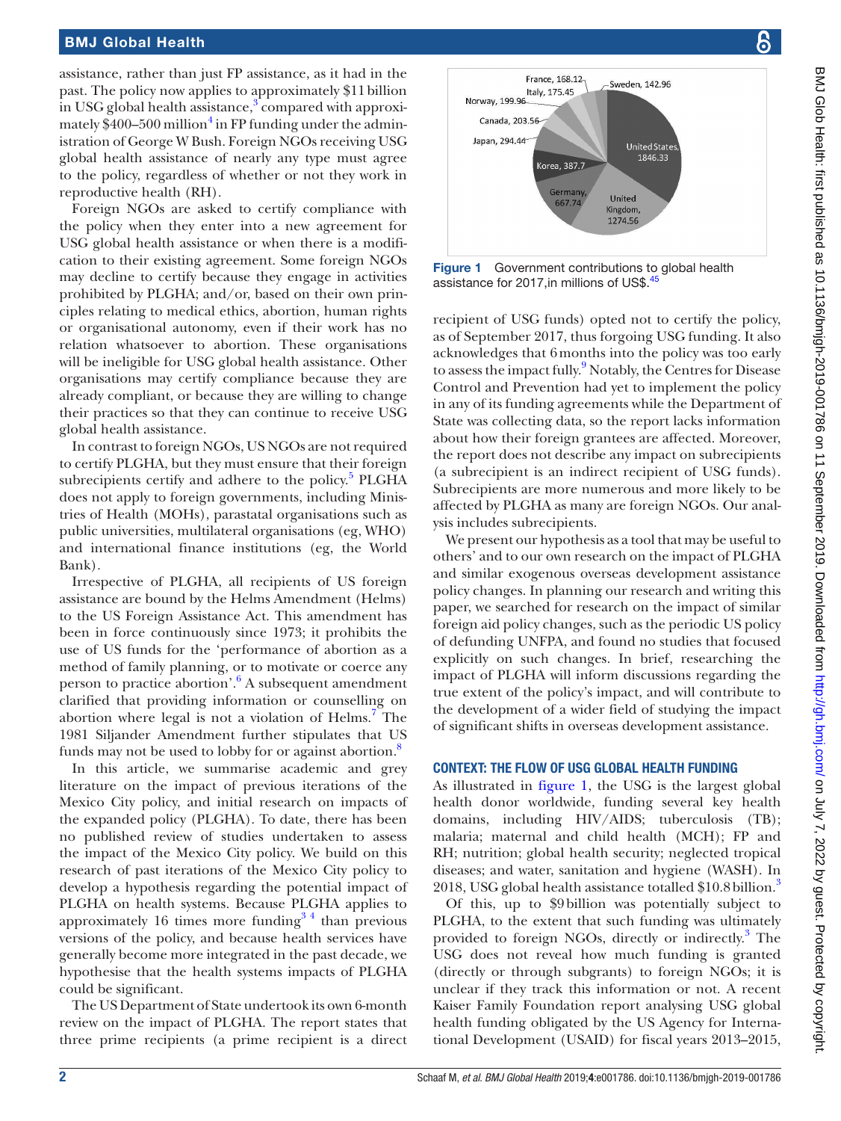# BMJ Global Health

assistance, rather than just FP assistance, as it had in the past. The policy now applies to approximately \$11billion in USG global health assistance,<sup>3</sup> compared with approximately  $$400-500$  $$400-500$  $$400-500$  million<sup>4</sup> in FP funding under the administration of George W Bush. Foreign NGOs receiving USG global health assistance of nearly any type must agree to the policy, regardless of whether or not they work in reproductive health (RH).

Foreign NGOs are asked to certify compliance with the policy when they enter into a new agreement for USG global health assistance or when there is a modification to their existing agreement. Some foreign NGOs may decline to certify because they engage in activities prohibited by PLGHA; and/or, based on their own principles relating to medical ethics, abortion, human rights or organisational autonomy, even if their work has no relation whatsoever to abortion. These organisations will be ineligible for USG global health assistance. Other organisations may certify compliance because they are already compliant, or because they are willing to change their practices so that they can continue to receive USG global health assistance.

In contrast to foreign NGOs, US NGOs are not required to certify PLGHA, but they must ensure that their foreign subrecipients certify and adhere to the policy.<sup>5</sup> PLGHA does not apply to foreign governments, including Ministries of Health (MOHs), parastatal organisations such as public universities, multilateral organisations (eg, WHO) and international finance institutions (eg, the World Bank).

Irrespective of PLGHA, all recipients of US foreign assistance are bound by the Helms Amendment (Helms) to the US Foreign Assistance Act. This amendment has been in force continuously since 1973; it prohibits the use of US funds for the 'performance of abortion as a method of family planning, or to motivate or coerce any person to practice abortion'.<sup>[6](#page-10-5)</sup> A subsequent amendment clarified that providing information or counselling on abortion where legal is not a violation of Helms.<sup>7</sup> The 1981 Siljander Amendment further stipulates that US funds may not be used to lobby for or against abortion.<sup>8</sup>

In this article, we summarise academic and grey literature on the impact of previous iterations of the Mexico City policy, and initial research on impacts of the expanded policy (PLGHA). To date, there has been no published review of studies undertaken to assess the impact of the Mexico City policy. We build on this research of past iterations of the Mexico City policy to develop a hypothesis regarding the potential impact of PLGHA on health systems. Because PLGHA applies to approximately 16 times more funding  $3<sup>4</sup>$  than previous versions of the policy, and because health services have generally become more integrated in the past decade, we hypothesise that the health systems impacts of PLGHA could be significant.

The US Department of State undertook its own 6-month review on the impact of PLGHA. The report states that three prime recipients (a prime recipient is a direct



<span id="page-1-0"></span>Figure 1 Government contributions to global health assistance for 2017, in millions of US\$.<sup>4</sup>

recipient of USG funds) opted not to certify the policy, as of September 2017, thus forgoing USG funding. It also acknowledges that 6months into the policy was too early to assess the impact fully.<sup>[9](#page-10-8)</sup> Notably, the Centres for Disease Control and Prevention had yet to implement the policy in any of its funding agreements while the Department of State was collecting data, so the report lacks information about how their foreign grantees are affected. Moreover, the report does not describe any impact on subrecipients (a subrecipient is an indirect recipient of USG funds). Subrecipients are more numerous and more likely to be affected by PLGHA as many are foreign NGOs. Our analysis includes subrecipients.

We present our hypothesis as a tool that may be useful to others' and to our own research on the impact of PLGHA and similar exogenous overseas development assistance policy changes. In planning our research and writing this paper, we searched for research on the impact of similar foreign aid policy changes, such as the periodic US policy of defunding UNFPA, and found no studies that focused explicitly on such changes. In brief, researching the impact of PLGHA will inform discussions regarding the true extent of the policy's impact, and will contribute to the development of a wider field of studying the impact of significant shifts in overseas development assistance.

#### Context: the flow of USG global health funding

As illustrated in [figure](#page-1-0) 1, the USG is the largest global health donor worldwide, funding several key health domains, including HIV/AIDS; tuberculosis (TB); malaria; maternal and child health (MCH); FP and RH; nutrition; global health security; neglected tropical diseases; and water, sanitation and hygiene (WASH). In 2018, USG global health assistance totalled \$10.8 billion.<sup>[3](#page-10-2)</sup>

Of this, up to \$9billion was potentially subject to PLGHA, to the extent that such funding was ultimately provided to foreign NGOs, directly or indirectly. [3](#page-10-2) The USG does not reveal how much funding is granted (directly or through subgrants) to foreign NGOs; it is unclear if they track this information or not. A recent Kaiser Family Foundation report analysing USG global health funding obligated by the US Agency for International Development (USAID) for fiscal years 2013–2015,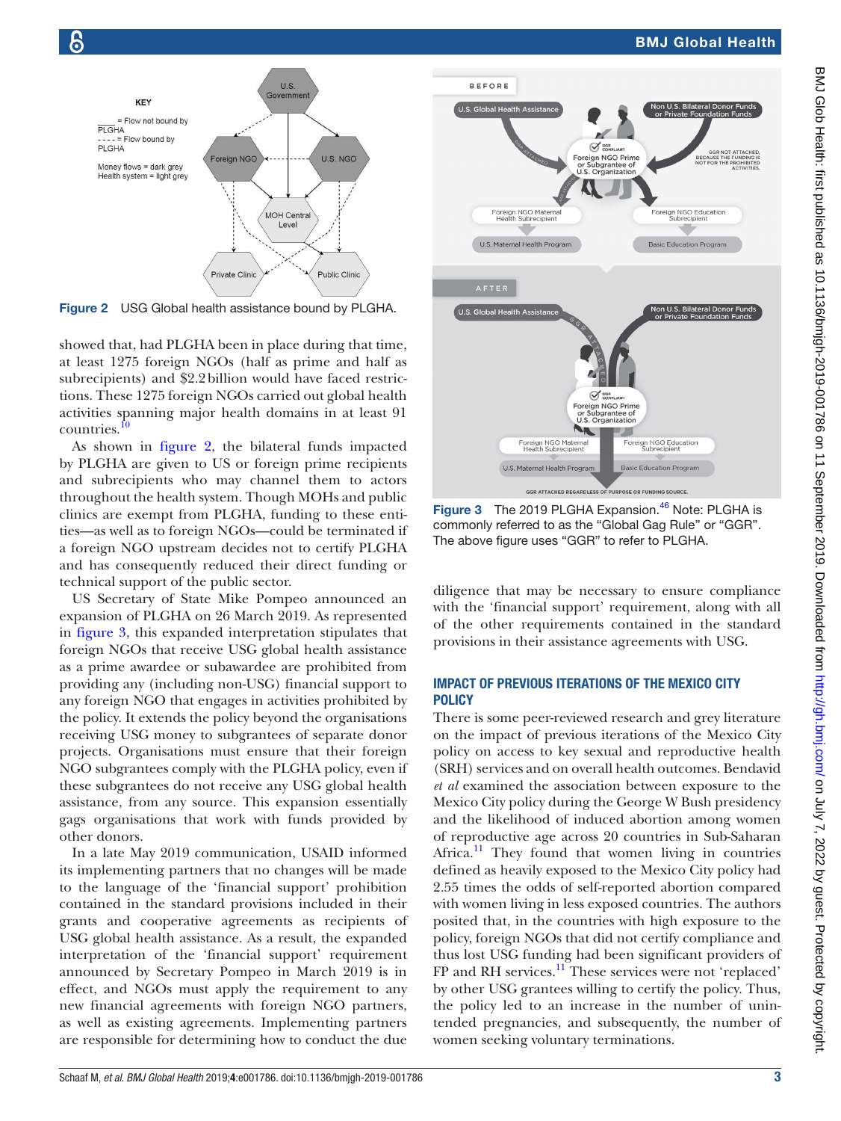

BMJ Glob Health: first published as 10.1136/bmjgh-2019-001786 on 11 September 2019. Downloaded from http://gh.bmj.com/ on July 7, 2022 by guest. Protected by copyright BMJ Glob Health: first published as 10.1136/bmjgh-2019-001786 on 11 September 2019. Downloaded from bu <http://gh.bmj.com/> 9n July 7, 2022 by guest. Protected by copyright.



<span id="page-2-0"></span>Figure 2 USG Global health assistance bound by PLGHA.

showed that, had PLGHA been in place during that time, at least 1275 foreign NGOs (half as prime and half as subrecipients) and \$2.2billion would have faced restrictions. These 1275 foreign NGOs carried out global health activities spanning major health domains in at least 91 countries.<sup>1</sup>

As shown in [figure](#page-2-0) 2, the bilateral funds impacted by PLGHA are given to US or foreign prime recipients and subrecipients who may channel them to actors throughout the health system. Though MOHs and public clinics are exempt from PLGHA, funding to these entities—as well as to foreign NGOs—could be terminated if a foreign NGO upstream decides not to certify PLGHA and has consequently reduced their direct funding or technical support of the public sector.

US Secretary of State Mike Pompeo announced an expansion of PLGHA on 26 March 2019. As represented in [figure](#page-2-1) 3, this expanded interpretation stipulates that foreign NGOs that receive USG global health assistance as a prime awardee or subawardee are prohibited from providing any (including non-USG) financial support to any foreign NGO that engages in activities prohibited by the policy. It extends the policy beyond the organisations receiving USG money to subgrantees of separate donor projects. Organisations must ensure that their foreign NGO subgrantees comply with the PLGHA policy, even if these subgrantees do not receive any USG global health assistance, from any source. This expansion essentially gags organisations that work with funds provided by other donors.

In a late May 2019 communication, USAID informed its implementing partners that no changes will be made to the language of the 'financial support' prohibition contained in the standard provisions included in their grants and cooperative agreements as recipients of USG global health assistance. As a result, the expanded interpretation of the 'financial support' requirement announced by Secretary Pompeo in March 2019 is in effect, and NGOs must apply the requirement to any new financial agreements with foreign NGO partners, as well as existing agreements. Implementing partners are responsible for determining how to conduct the due



<span id="page-2-1"></span>Figure 3 The 2019 PLGHA Expansion. $46$  Note: PLGHA is commonly referred to as the "Global Gag Rule" or "GGR". The above figure uses "GGR" to refer to PLGHA.

diligence that may be necessary to ensure compliance with the 'financial support' requirement, along with all of the other requirements contained in the standard provisions in their assistance agreements with USG.

# Impact of previous iterations of the Mexico City **POLICY**

There is some peer-reviewed research and grey literature on the impact of previous iterations of the Mexico City policy on access to key sexual and reproductive health (SRH) services and on overall health outcomes. Bendavid *et al* examined the association between exposure to the Mexico City policy during the George W Bush presidency and the likelihood of induced abortion among women of reproductive age across 20 countries in Sub-Saharan Africa. $\frac{11}{11}$  They found that women living in countries defined as heavily exposed to the Mexico City policy had 2.55 times the odds of self-reported abortion compared with women living in less exposed countries. The authors posited that, in the countries with high exposure to the policy, foreign NGOs that did not certify compliance and thus lost USG funding had been significant providers of FP and RH services.<sup>11</sup> These services were not 'replaced' by other USG grantees willing to certify the policy. Thus, the policy led to an increase in the number of unintended pregnancies, and subsequently, the number of women seeking voluntary terminations.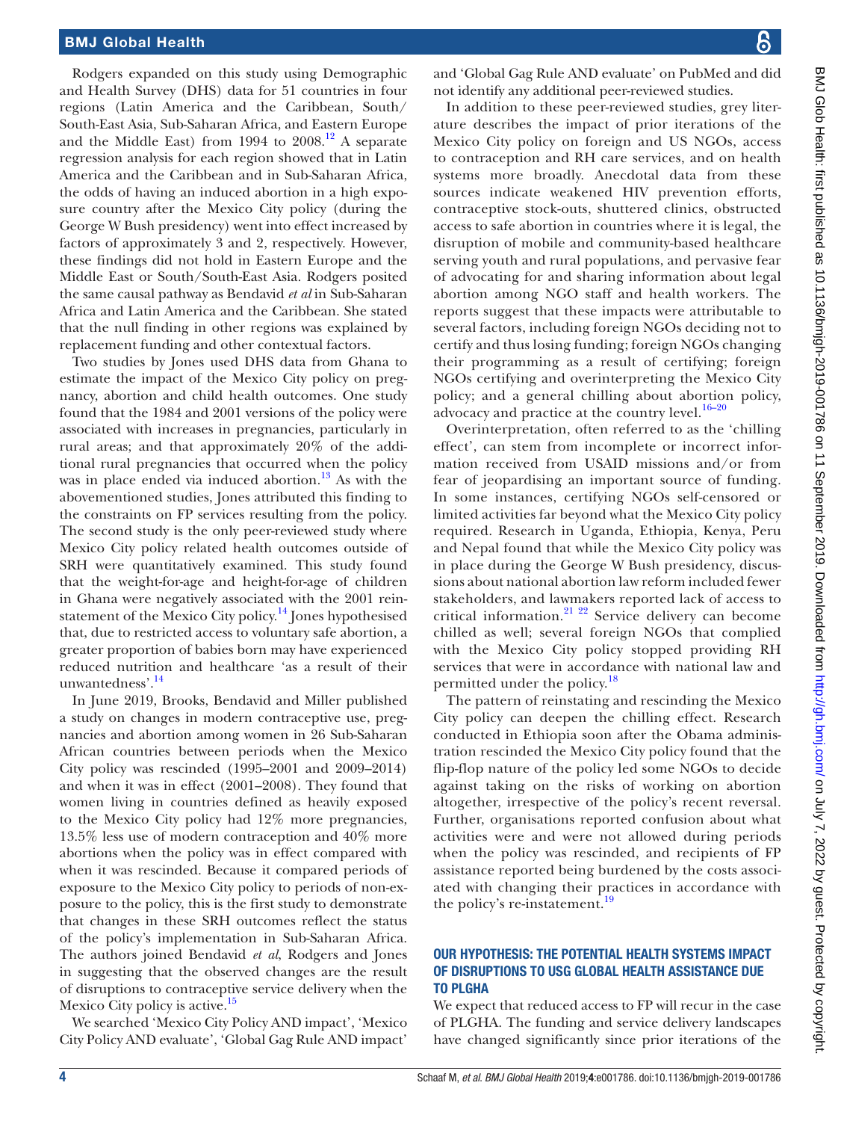Rodgers expanded on this study using Demographic and Health Survey (DHS) data for 51 countries in four regions (Latin America and the Caribbean, South/ South-East Asia, Sub-Saharan Africa, and Eastern Europe and the Middle East) from 1994 to  $2008<sup>12</sup>$  A separate regression analysis for each region showed that in Latin America and the Caribbean and in Sub-Saharan Africa, the odds of having an induced abortion in a high exposure country after the Mexico City policy (during the George W Bush presidency) went into effect increased by factors of approximately 3 and 2, respectively. However, these findings did not hold in Eastern Europe and the Middle East or South/South-East Asia. Rodgers posited the same causal pathway as Bendavid *et al* in Sub-Saharan Africa and Latin America and the Caribbean. She stated that the null finding in other regions was explained by replacement funding and other contextual factors.

Two studies by Jones used DHS data from Ghana to estimate the impact of the Mexico City policy on pregnancy, abortion and child health outcomes. One study found that the 1984 and 2001 versions of the policy were associated with increases in pregnancies, particularly in rural areas; and that approximately 20% of the additional rural pregnancies that occurred when the policy was in place ended via induced abortion.<sup>[13](#page-10-12)</sup> As with the abovementioned studies, Jones attributed this finding to the constraints on FP services resulting from the policy. The second study is the only peer-reviewed study where Mexico City policy related health outcomes outside of SRH were quantitatively examined. This study found that the weight-for-age and height-for-age of children in Ghana were negatively associated with the 2001 reinstatement of the Mexico City policy.<sup>14</sup> Jones hypothesised that, due to restricted access to voluntary safe abortion, a greater proportion of babies born may have experienced reduced nutrition and healthcare 'as a result of their unwantedness'.[14](#page-10-13)

In June 2019, Brooks, Bendavid and Miller published a study on changes in modern contraceptive use, pregnancies and abortion among women in 26 Sub-Saharan African countries between periods when the Mexico City policy was rescinded (1995–2001 and 2009–2014) and when it was in effect (2001–2008). They found that women living in countries defined as heavily exposed to the Mexico City policy had 12% more pregnancies, 13.5% less use of modern contraception and 40% more abortions when the policy was in effect compared with when it was rescinded. Because it compared periods of exposure to the Mexico City policy to periods of non-exposure to the policy, this is the first study to demonstrate that changes in these SRH outcomes reflect the status of the policy's implementation in Sub-Saharan Africa. The authors joined Bendavid *et al*, Rodgers and Jones in suggesting that the observed changes are the result of disruptions to contraceptive service delivery when the Mexico City policy is active.<sup>[15](#page-10-14)</sup>

We searched 'Mexico City Policy AND impact', 'Mexico City Policy AND evaluate', 'Global Gag Rule AND impact'

and 'Global Gag Rule AND evaluate' on PubMed and did not identify any additional peer-reviewed studies.

In addition to these peer-reviewed studies, grey literature describes the impact of prior iterations of the Mexico City policy on foreign and US NGOs, access to contraception and RH care services, and on health systems more broadly. Anecdotal data from these sources indicate weakened HIV prevention efforts, contraceptive stock-outs, shuttered clinics, obstructed access to safe abortion in countries where it is legal, the disruption of mobile and community-based healthcare serving youth and rural populations, and pervasive fear of advocating for and sharing information about legal abortion among NGO staff and health workers. The reports suggest that these impacts were attributable to several factors, including foreign NGOs deciding not to certify and thus losing funding; foreign NGOs changing their programming as a result of certifying; foreign NGOs certifying and overinterpreting the Mexico City policy; and a general chilling about abortion policy, advocacy and practice at the country level. $16-20$ 

Overinterpretation, often referred to as the 'chilling effect', can stem from incomplete or incorrect information received from USAID missions and/or from fear of jeopardising an important source of funding. In some instances, certifying NGOs self-censored or limited activities far beyond what the Mexico City policy required. Research in Uganda, Ethiopia, Kenya, Peru and Nepal found that while the Mexico City policy was in place during the George W Bush presidency, discussions about national abortion law reform included fewer stakeholders, and lawmakers reported lack of access to critical information.<sup>21 22</sup> Service delivery can become chilled as well; several foreign NGOs that complied with the Mexico City policy stopped providing RH services that were in accordance with national law and permitted under the policy.<sup>[18](#page-11-3)</sup>

The pattern of reinstating and rescinding the Mexico City policy can deepen the chilling effect. Research conducted in Ethiopia soon after the Obama administration rescinded the Mexico City policy found that the flip-flop nature of the policy led some NGOs to decide against taking on the risks of working on abortion altogether, irrespective of the policy's recent reversal. Further, organisations reported confusion about what activities were and were not allowed during periods when the policy was rescinded, and recipients of FP assistance reported being burdened by the costs associated with changing their practices in accordance with the policy's re-instatement.<sup>[19](#page-11-4)</sup>

## Our hypothesis: the potential health systems impact of disruptions to USG global health assistance due to PLGHA

We expect that reduced access to FP will recur in the case of PLGHA. The funding and service delivery landscapes have changed significantly since prior iterations of the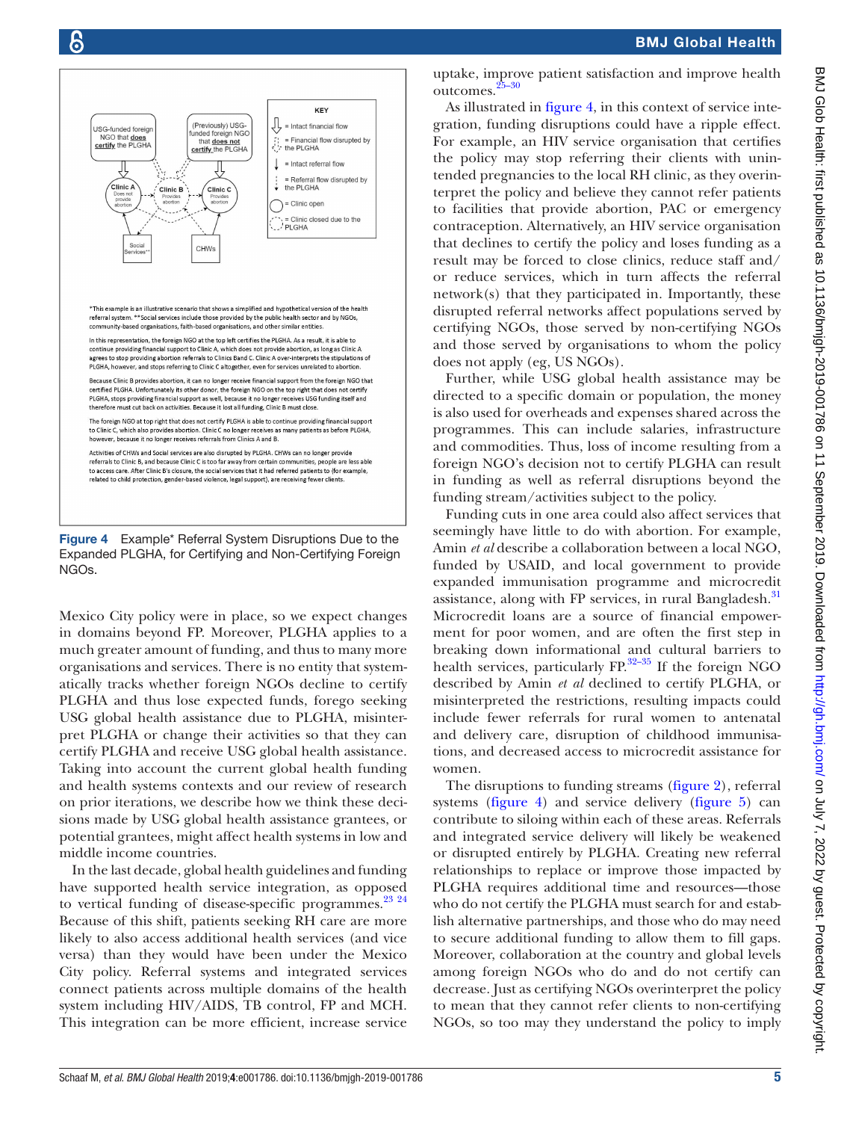

<span id="page-4-0"></span>Figure 4 Example\* Referral System Disruptions Due to the Expanded PLGHA, for Certifying and Non-Certifying Foreign NGOs.

Mexico City policy were in place, so we expect changes in domains beyond FP. Moreover, PLGHA applies to a much greater amount of funding, and thus to many more organisations and services. There is no entity that systematically tracks whether foreign NGOs decline to certify PLGHA and thus lose expected funds, forego seeking USG global health assistance due to PLGHA, misinterpret PLGHA or change their activities so that they can certify PLGHA and receive USG global health assistance. Taking into account the current global health funding and health systems contexts and our review of research on prior iterations, we describe how we think these decisions made by USG global health assistance grantees, or potential grantees, might affect health systems in low and middle income countries.

In the last decade, global health guidelines and funding have supported health service integration, as opposed to vertical funding of disease-specific programmes. $^{23}$   $^{24}$ Because of this shift, patients seeking RH care are more likely to also access additional health services (and vice versa) than they would have been under the Mexico City policy. Referral systems and integrated services connect patients across multiple domains of the health system including HIV/AIDS, TB control, FP and MCH. This integration can be more efficient, increase service

uptake, improve patient satisfaction and improve health outcomes.<sup>3</sup>

As illustrated in [figure](#page-4-0) 4, in this context of service integration, funding disruptions could have a ripple effect. For example, an HIV service organisation that certifies the policy may stop referring their clients with unintended pregnancies to the local RH clinic, as they overinterpret the policy and believe they cannot refer patients to facilities that provide abortion, PAC or emergency contraception. Alternatively, an HIV service organisation that declines to certify the policy and loses funding as a result may be forced to close clinics, reduce staff and/ or reduce services, which in turn affects the referral network(s) that they participated in. Importantly, these disrupted referral networks affect populations served by certifying NGOs, those served by non-certifying NGOs and those served by organisations to whom the policy does not apply (eg, US NGOs).

Further, while USG global health assistance may be directed to a specific domain or population, the money is also used for overheads and expenses shared across the programmes. This can include salaries, infrastructure and commodities. Thus, loss of income resulting from a foreign NGO's decision not to certify PLGHA can result in funding as well as referral disruptions beyond the funding stream/activities subject to the policy.

Funding cuts in one area could also affect services that seemingly have little to do with abortion. For example, Amin *et al* describe a collaboration between a local NGO, funded by USAID, and local government to provide expanded immunisation programme and microcredit assistance, along with FP services, in rural Bangladesh.<sup>31</sup> Microcredit loans are a source of financial empowerment for poor women, and are often the first step in breaking down informational and cultural barriers to health services, particularly  $FP^{32-35}$  If the foreign NGO described by Amin *et al* declined to certify PLGHA, or misinterpreted the restrictions, resulting impacts could include fewer referrals for rural women to antenatal and delivery care, disruption of childhood immunisations, and decreased access to microcredit assistance for women.

The disruptions to funding streams ([figure](#page-2-0) 2), referral systems ([figure](#page-4-0) 4) and service delivery [\(figure](#page-5-0) 5) can contribute to siloing within each of these areas. Referrals and integrated service delivery will likely be weakened or disrupted entirely by PLGHA. Creating new referral relationships to replace or improve those impacted by PLGHA requires additional time and resources—those who do not certify the PLGHA must search for and establish alternative partnerships, and those who do may need to secure additional funding to allow them to fill gaps. Moreover, collaboration at the country and global levels among foreign NGOs who do and do not certify can decrease. Just as certifying NGOs overinterpret the policy to mean that they cannot refer clients to non-certifying NGOs, so too may they understand the policy to imply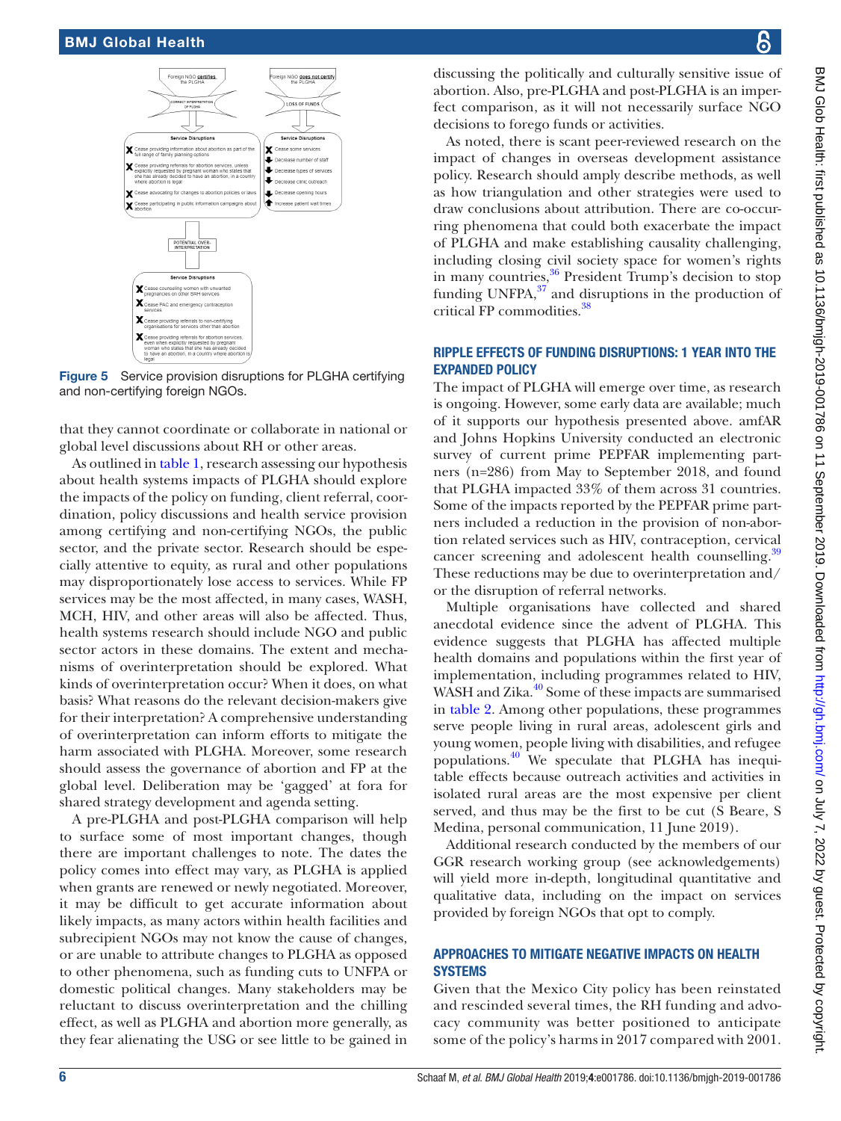

<span id="page-5-0"></span>Figure 5 Service provision disruptions for PLGHA certifying and non-certifying foreign NGOs.

that they cannot coordinate or collaborate in national or global level discussions about RH or other areas.

As outlined in [table](#page-6-0) 1, research assessing our hypothesis about health systems impacts of PLGHA should explore the impacts of the policy on funding, client referral, coordination, policy discussions and health service provision among certifying and non-certifying NGOs, the public sector, and the private sector. Research should be especially attentive to equity, as rural and other populations may disproportionately lose access to services. While FP services may be the most affected, in many cases, WASH, MCH, HIV, and other areas will also be affected. Thus, health systems research should include NGO and public sector actors in these domains. The extent and mechanisms of overinterpretation should be explored. What kinds of overinterpretation occur? When it does, on what basis? What reasons do the relevant decision-makers give for their interpretation? A comprehensive understanding of overinterpretation can inform efforts to mitigate the harm associated with PLGHA. Moreover, some research should assess the governance of abortion and FP at the global level. Deliberation may be 'gagged' at fora for shared strategy development and agenda setting.

A pre-PLGHA and post-PLGHA comparison will help to surface some of most important changes, though there are important challenges to note. The dates the policy comes into effect may vary, as PLGHA is applied when grants are renewed or newly negotiated. Moreover, it may be difficult to get accurate information about likely impacts, as many actors within health facilities and subrecipient NGOs may not know the cause of changes, or are unable to attribute changes to PLGHA as opposed to other phenomena, such as funding cuts to UNFPA or domestic political changes. Many stakeholders may be reluctant to discuss overinterpretation and the chilling effect, as well as PLGHA and abortion more generally, as they fear alienating the USG or see little to be gained in

discussing the politically and culturally sensitive issue of abortion. Also, pre-PLGHA and post-PLGHA is an imperfect comparison, as it will not necessarily surface NGO decisions to forego funds or activities.

As noted, there is scant peer-reviewed research on the impact of changes in overseas development assistance policy. Research should amply describe methods, as well as how triangulation and other strategies were used to draw conclusions about attribution. There are co-occurring phenomena that could both exacerbate the impact of PLGHA and make establishing causality challenging, including closing civil society space for women's rights in many countries,<sup>[36](#page-11-9)</sup> President Trump's decision to stop funding UNFPA $,37$  and disruptions in the production of critical FP commodities.[38](#page-11-11)

# Ripple effects of funding disruptions: 1 year into the expanded policy

The impact of PLGHA will emerge over time, as research is ongoing. However, some early data are available; much of it supports our hypothesis presented above. amfAR and Johns Hopkins University conducted an electronic survey of current prime PEPFAR implementing partners (n=286) from May to September 2018, and found that PLGHA impacted 33% of them across 31 countries. Some of the impacts reported by the PEPFAR prime partners included a reduction in the provision of non-abortion related services such as HIV, contraception, cervical cancer screening and adolescent health counselling.<sup>[39](#page-11-12)</sup> These reductions may be due to overinterpretation and/ or the disruption of referral networks.

Multiple organisations have collected and shared anecdotal evidence since the advent of PLGHA. This evidence suggests that PLGHA has affected multiple health domains and populations within the first year of implementation, including programmes related to HIV, WASH and Zika.<sup>40</sup> Some of these impacts are summarised in [table](#page-9-0) 2. Among other populations, these programmes serve people living in rural areas, adolescent girls and young women, people living with disabilities, and refugee populations.[40](#page-11-13) We speculate that PLGHA has inequitable effects because outreach activities and activities in isolated rural areas are the most expensive per client served, and thus may be the first to be cut (S Beare, S Medina, personal communication, 11 June 2019).

Additional research conducted by the members of our GGR research working group (see acknowledgements) will yield more in-depth, longitudinal quantitative and qualitative data, including on the impact on services provided by foreign NGOs that opt to comply.

## Approaches to mitigate negative impacts on health **SYSTEMS**

Given that the Mexico City policy has been reinstated and rescinded several times, the RH funding and advocacy community was better positioned to anticipate some of the policy's harms in 2017 compared with 2001.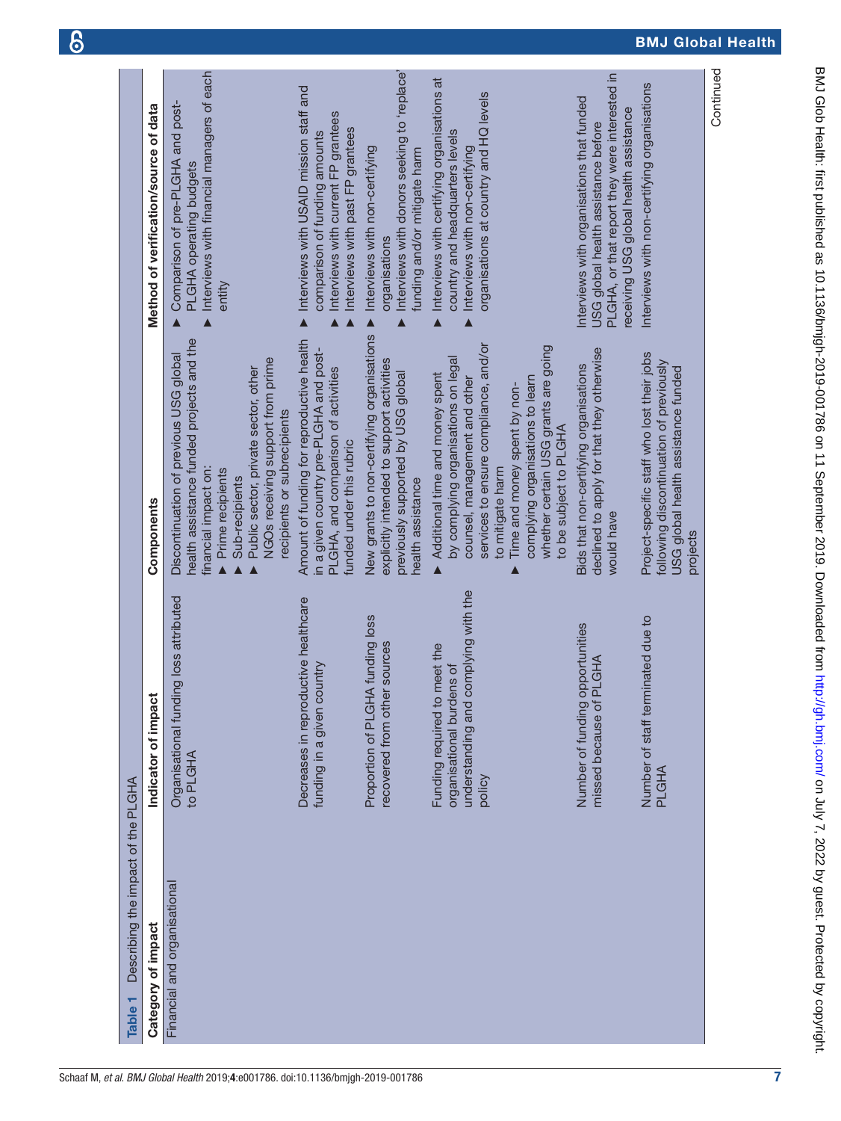| Describing the impact of the PLGHA<br>Category of impact<br>Table <sub>1</sub> | Indicator of impact                                                                                                            | Components                                                                                                                                                                                                                                                                                                                                         | Method of verification/source of data                                                                                                                                          |
|--------------------------------------------------------------------------------|--------------------------------------------------------------------------------------------------------------------------------|----------------------------------------------------------------------------------------------------------------------------------------------------------------------------------------------------------------------------------------------------------------------------------------------------------------------------------------------------|--------------------------------------------------------------------------------------------------------------------------------------------------------------------------------|
| Financial and organisational                                                   | loss attributed<br>Organisational funding<br>to PLGHA                                                                          | health assistance funded projects and the<br>Discontinuation of previous USG global<br>NGOs receiving support from prime<br>Public sector, private sector, other<br>ecipients or subrecipients<br>financial impact on:<br>Prime recipients<br>Sub-recipients                                                                                       | Interviews with financial managers of each<br>Comparison of pre-PLGHA and post-<br>PLGHA operating budgets<br>entity                                                           |
|                                                                                | Decreases in reproductive healthcare<br>funding in a given country                                                             | Amount of funding for reproductive health<br>in a given country pre-PLGHA and post-<br>PLGHA, and comparison of activities<br>funded under this rubric                                                                                                                                                                                             | Interviews with USAID mission staff and<br>Interviews with current FP grantees<br>Interviews with past FP grantees<br>comparison of funding amounts                            |
|                                                                                | Proportion of PLGHA funding loss<br>recovered from other sources                                                               | New grants to non-certifying organisations<br>explicitly intended to support activities<br>previously supported by USG global<br>health assistance                                                                                                                                                                                                 | Interviews with donors seeking to 'replace'<br>Interviews with non-certifying<br>funding and/or mitigate harm<br>organisations<br>$\blacktriangle$                             |
|                                                                                | understanding and complying with the<br>Funding required to meet the<br>$\frac{1}{\sigma}$<br>organisational burdens<br>policy | services to ensure compliance, and/or<br>whether certain USG grants are going<br>by complying organisations on legal<br>Additional time and money spent<br>complying organisations to learn<br>counsel, management and other<br>Time and money spent by non-<br>to be subject to PLGHA<br>to mitigate harm<br>$\blacktriangle$<br>$\blacktriangle$ | Interviews with certifying organisations at<br>organisations at country and HQ levels<br>country and headquarters levels<br>Interviews with non-certifying<br>$\blacktriangle$ |
|                                                                                | Number of funding opportunities<br>missed because of PLGHA                                                                     | declined to apply for that they otherwise<br>Bids that non-certifying organisations<br>would have                                                                                                                                                                                                                                                  | PLGHA, or that report they were interested in<br>Interviews with organisations that funded<br>receiving USG global health assistance<br>USG global health assistance before    |
|                                                                                | Number of staff terminated due to<br>PLGHA                                                                                     | Project-specific staff who lost their jobs<br>following discontinuation of previously<br>USG global health assistance funded<br>projects                                                                                                                                                                                                           | Interviews with non-certifying organisations                                                                                                                                   |
|                                                                                |                                                                                                                                |                                                                                                                                                                                                                                                                                                                                                    | Continued                                                                                                                                                                      |

<span id="page-6-0"></span>7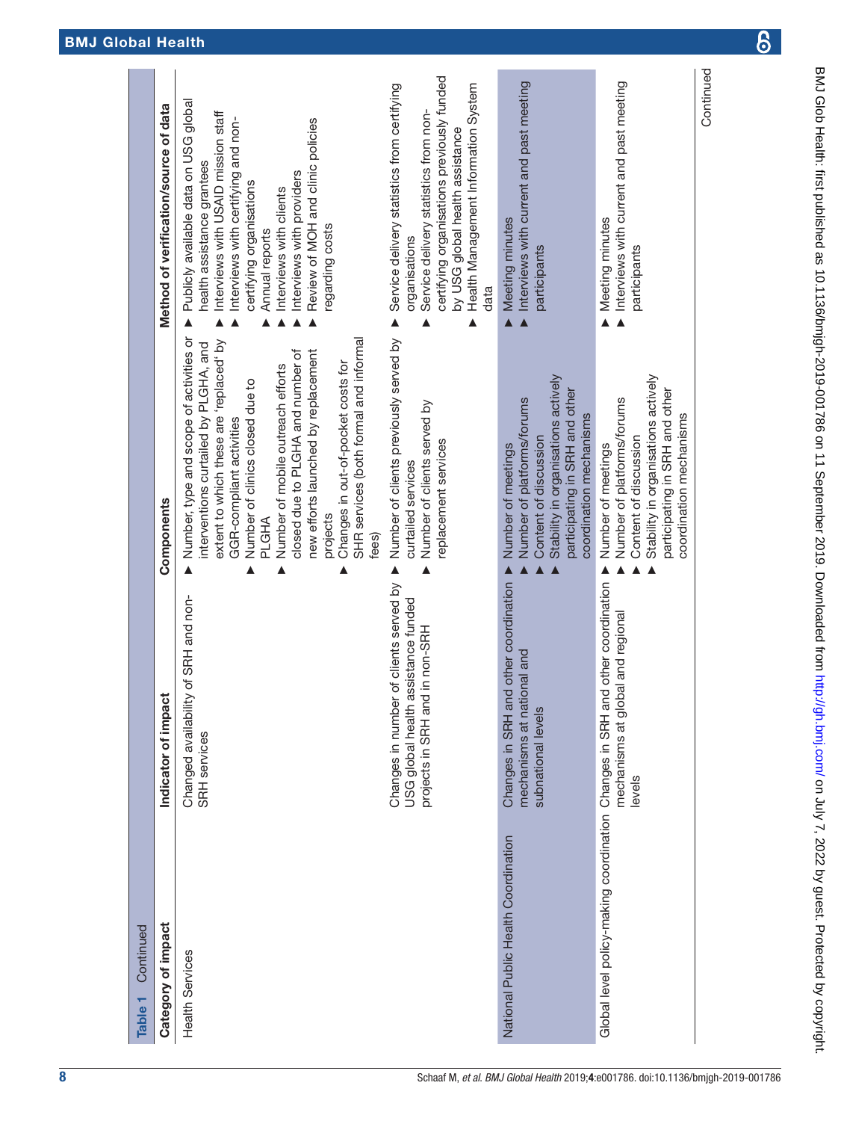| Continued<br>Table <sub>1</sub>     |                                                                                                                                   |                                                                                                                                                                                                                                                                                                                                                                                                                                |                                                                                                                                                                                                                                                                                                                 |
|-------------------------------------|-----------------------------------------------------------------------------------------------------------------------------------|--------------------------------------------------------------------------------------------------------------------------------------------------------------------------------------------------------------------------------------------------------------------------------------------------------------------------------------------------------------------------------------------------------------------------------|-----------------------------------------------------------------------------------------------------------------------------------------------------------------------------------------------------------------------------------------------------------------------------------------------------------------|
| Category of impact                  | Indicator of impact                                                                                                               | Components                                                                                                                                                                                                                                                                                                                                                                                                                     | Method of verification/source of data                                                                                                                                                                                                                                                                           |
| Health Services                     | of SRH and non-<br>Changed availability<br>SRH services                                                                           | Number, type and scope of activities or<br>SHR services (both formal and informal<br>extent to which these are 'replaced' by<br>interventions curtailed by PLGHA, and<br>closed due to PLGHA and number of<br>new efforts launched by replacement<br>Changes in out-of-pocket costs for<br>Number of mobile outreach efforts<br>Number of clinics closed due to<br>GGR-compliant activities<br>projects<br>PLGHA<br>fees)<br>▲ | Publicly available data on USG global<br>Interviews with USAID mission staff<br>Interviews with certifying and non-<br>Review of MOH and clinic policies<br>health assistance grantees<br>Interviews with providers<br>certifying organisations<br>Interviews with clients<br>regarding costs<br>Annual reports |
|                                     | ▲<br>of clients served by<br>USG global health assistance funded<br>in non-SRH<br>projects in SRH and<br>Changes in number        | Number of clients previously served by<br>Number of clients served by<br>replacement services<br>curtailed services                                                                                                                                                                                                                                                                                                            | certifying organisations previously funded<br>Health Management Information System<br>Service delivery statistics from certifying<br>Service delivery statistics from non-<br>by USG global health assistance<br>organisations<br>data                                                                          |
| National Public Health Coordination | Changes in SRH and other coordination<br>mechanisms at national and<br>subnational levels                                         | Stability in organisations actively<br>participating in SRH and other<br>Number of platforms/forums<br>coordination mechanisms<br>Content of discussion<br>Number of meetings<br>$\blacktriangle$                                                                                                                                                                                                                              | Interviews with current and past meeting<br>Meeting minutes<br>participants<br>$\blacktriangle$                                                                                                                                                                                                                 |
|                                     | ▲<br>Global level policy-making coordination Changes in SRH and other coordination<br>mechanisms at global and regional<br>levels | Stability in organisations actively<br>participating in SRH and other<br>Number of platforms/forums<br>coordination mechanisms<br>Content of discussion<br>Number of meetings                                                                                                                                                                                                                                                  | Interviews with current and past meeting<br>Meeting minutes<br>participants                                                                                                                                                                                                                                     |
|                                     |                                                                                                                                   |                                                                                                                                                                                                                                                                                                                                                                                                                                | Continued                                                                                                                                                                                                                                                                                                       |

 $\overline{6}$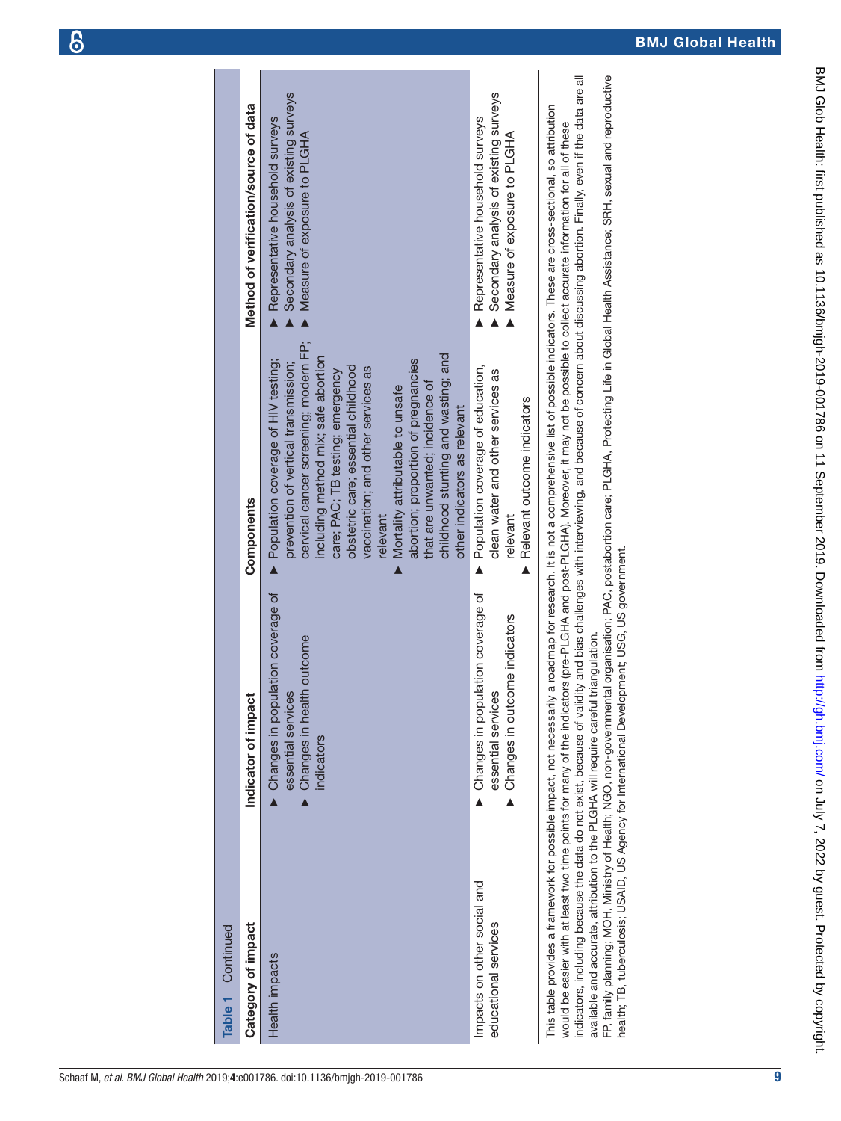| Table 1 Continued                                                                                                                                                |                                                                                                      |                                                                                                                                                                                                                                                                                                                                                                                                                                                                                                                       |                                                                                                                                                                                                                                                                                                                                                                                                   |
|------------------------------------------------------------------------------------------------------------------------------------------------------------------|------------------------------------------------------------------------------------------------------|-----------------------------------------------------------------------------------------------------------------------------------------------------------------------------------------------------------------------------------------------------------------------------------------------------------------------------------------------------------------------------------------------------------------------------------------------------------------------------------------------------------------------|---------------------------------------------------------------------------------------------------------------------------------------------------------------------------------------------------------------------------------------------------------------------------------------------------------------------------------------------------------------------------------------------------|
| Category of impact                                                                                                                                               | Indicator of impact                                                                                  | Components                                                                                                                                                                                                                                                                                                                                                                                                                                                                                                            | Method of verification/source of data                                                                                                                                                                                                                                                                                                                                                             |
| Health impacts                                                                                                                                                   | ▶ Changes in population coverage of<br>Changes in health outcome<br>essential services<br>indicators | cervical cancer screening; modern FP;<br>childhood stunting and wasting; and<br>including method mix; safe abortion<br>abortion; proportion of pregnancies<br>Population coverage of HIV testing;<br>prevention of vertical transmission;<br>obstetric care; essential childhood<br>vaccination; and other services as<br>care; PAC; TB testing; emergency<br>that are unwanted; incidence of<br>Mortality attributable to unsafe<br>other indicators as relevant<br>relevant<br>$\blacktriangle$<br>$\blacktriangle$ | Secondary analysis of existing surveys<br>Representative household surveys<br>Measure of exposure to PLGHA                                                                                                                                                                                                                                                                                        |
| Impacts on other social and<br>educational services                                                                                                              | Changes in population coverage of<br>Changes in outcome indicators<br>essential services             | Population coverage of education,<br>clean water and other services as<br>Relevant outcome indicators<br>relevant<br>$\blacktriangle$<br>$\blacktriangle$                                                                                                                                                                                                                                                                                                                                                             | Secondary analysis of existing surveys<br>Representative household surveys<br>Measure of exposure to PLGHA                                                                                                                                                                                                                                                                                        |
| available and accurate, attribution to the PLGHA will require careful triangulation.<br>This table provides a framework for possible impact, not necessarily a r | health; TB, tuberculosis; USAID, US Agency for International Development; USG, US government.        | roadmap for research. It is not a comprehensive list of possible indicators. These are cross-sectional, so attribution<br>would be easier with at least two time points for many of the indicators (pre-PLGHA and post-PLGHA). Moreover, it may not be possible to collect accurate information for all of these                                                                                                                                                                                                      | FP, family planning; MOH, Ministry of Health; NGO, non-governmental organisation; PAC, postabortion care; PLGHA, Protecting Life in Global Health Assistance; SRH, sexual and reproductive<br>indicators, including because the data do not exist, because of validity and bias challenges with interviewing, and because of concern about discussing abortion. Finally, even if the data are all |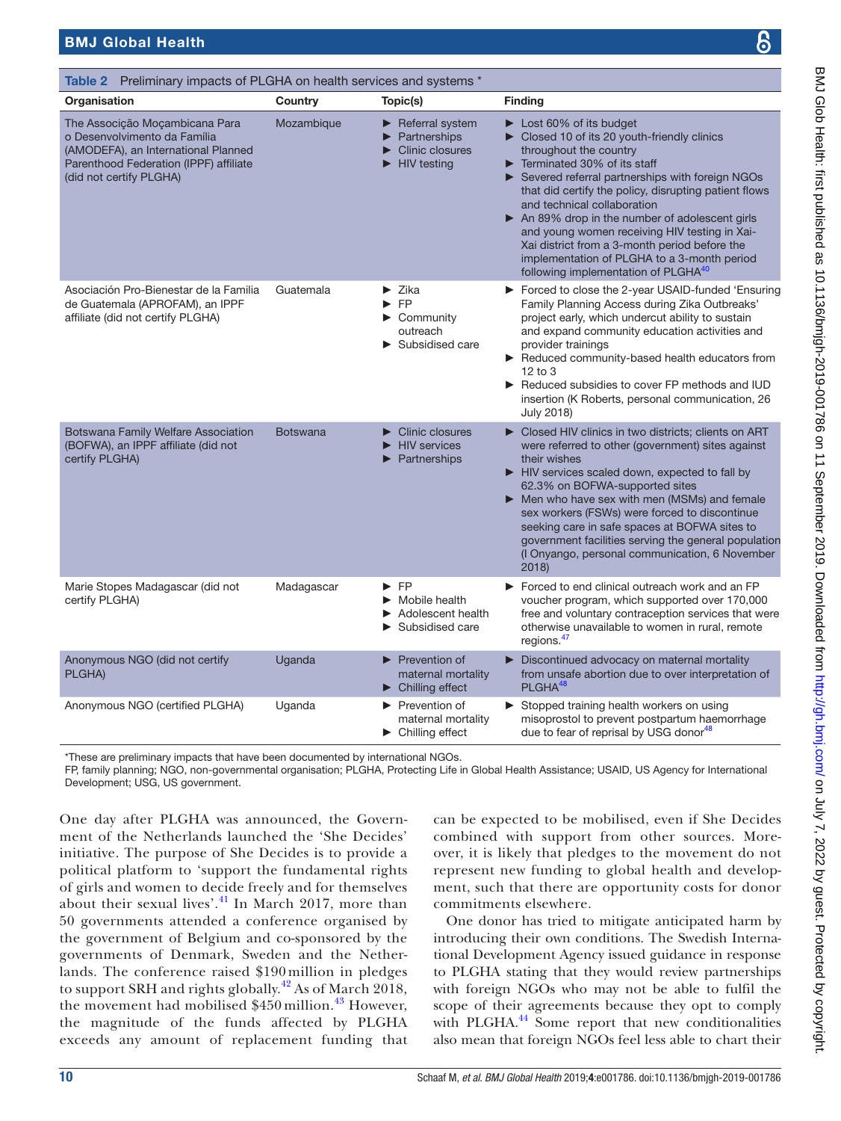<span id="page-9-0"></span>

| <b>Table 2</b> Preliminary impacts of PLGHA on health services and systems *                                                                                               |                 |                                                                                      |                                                                                                                                                                                                                                                                                                                                                                                                                                                                                                                                                                        |
|----------------------------------------------------------------------------------------------------------------------------------------------------------------------------|-----------------|--------------------------------------------------------------------------------------|------------------------------------------------------------------------------------------------------------------------------------------------------------------------------------------------------------------------------------------------------------------------------------------------------------------------------------------------------------------------------------------------------------------------------------------------------------------------------------------------------------------------------------------------------------------------|
| Organisation                                                                                                                                                               | Country         | Topic(s)                                                                             | <b>Finding</b>                                                                                                                                                                                                                                                                                                                                                                                                                                                                                                                                                         |
| The Associção Moçambicana Para<br>o Desenvolvimento da Família<br>(AMODEFA), an International Planned<br>Parenthood Federation (IPPF) affiliate<br>(did not certify PLGHA) | Mozambique      | Referral system<br>▶<br>Partnerships<br><b>Clinic closures</b><br><b>HIV</b> testing | $\triangleright$ Lost 60% of its budget<br>► Closed 10 of its 20 youth-friendly clinics<br>throughout the country<br>$\blacktriangleright$ Terminated 30% of its staff<br>Severed referral partnerships with foreign NGOs<br>that did certify the policy, disrupting patient flows<br>and technical collaboration<br>An 89% drop in the number of adolescent girls<br>and young women receiving HIV testing in Xai-<br>Xai district from a 3-month period before the<br>implementation of PLGHA to a 3-month period<br>following implementation of PLGHA <sup>40</sup> |
| Asociación Pro-Bienestar de la Familia<br>de Guatemala (APROFAM), an IPPF<br>affiliate (did not certify PLGHA)                                                             | Guatemala       | Zika<br>▶<br><b>FP</b><br>Community<br>▶<br>outreach<br>Subsidised care              | Forced to close the 2-year USAID-funded 'Ensuring<br>Family Planning Access during Zika Outbreaks'<br>project early, which undercut ability to sustain<br>and expand community education activities and<br>provider trainings<br>Reduced community-based health educators from<br>$12$ to $3$<br>Reduced subsidies to cover FP methods and IUD<br>insertion (K Roberts, personal communication, 26<br><b>July 2018)</b>                                                                                                                                                |
| Botswana Family Welfare Association<br>(BOFWA), an IPPF affiliate (did not<br>certify PLGHA)                                                                               | <b>Botswana</b> | <b>Clinic closures</b><br><b>HIV</b> services<br>▶<br>Partnerships                   | ▶ Closed HIV clinics in two districts; clients on ART<br>were referred to other (government) sites against<br>their wishes<br>HIV services scaled down, expected to fall by<br>62.3% on BOFWA-supported sites<br>• Men who have sex with men (MSMs) and female<br>sex workers (FSWs) were forced to discontinue<br>seeking care in safe spaces at BOFWA sites to<br>government facilities serving the general population<br>(I Onyango, personal communication, 6 November<br>2018                                                                                     |
| Marie Stopes Madagascar (did not<br>certify PLGHA)                                                                                                                         | Madagascar      | <b>FP</b><br>Mobile health<br>Adolescent health<br>Subsidised care                   | Forced to end clinical outreach work and an FP<br>voucher program, which supported over 170,000<br>free and voluntary contraception services that were<br>otherwise unavailable to women in rural, remote<br>regions. <sup>47</sup>                                                                                                                                                                                                                                                                                                                                    |
| Anonymous NGO (did not certify<br>PLGHA)                                                                                                                                   | Uganda          | $\blacktriangleright$ Prevention of<br>maternal mortality<br>Chilling effect<br>▶    | Discontinued advocacy on maternal mortality<br>from unsafe abortion due to over interpretation of<br>PLGHA <sup>48</sup>                                                                                                                                                                                                                                                                                                                                                                                                                                               |
| Anonymous NGO (certified PLGHA)                                                                                                                                            | Uganda          | Prevention of<br>▶<br>maternal mortality<br>$\blacktriangleright$ Chilling effect    | Stopped training health workers on using<br>misoprostol to prevent postpartum haemorrhage<br>due to fear of reprisal by USG donor <sup>48</sup>                                                                                                                                                                                                                                                                                                                                                                                                                        |

\*These are preliminary impacts that have been documented by international NGOs.

FP, family planning; NGO, non-governmental organisation; PLGHA, Protecting Life in Global Health Assistance; USAID, US Agency for International Development; USG, US government.

One day after PLGHA was announced, the Government of the Netherlands launched the 'She Decides' initiative. The purpose of She Decides is to provide a political platform to 'support the fundamental rights of girls and women to decide freely and for themselves about their sexual lives'.<sup>[41](#page-11-16)</sup> In March 2017, more than 50 governments attended a conference organised by the government of Belgium and co-sponsored by the governments of Denmark, Sweden and the Netherlands. The conference raised \$190 million in pledges to support SRH and rights globally.<sup>[42](#page-11-17)</sup> As of March 2018, the movement had mobilised  $$450$  million.<sup>[43](#page-11-18)</sup> However, the magnitude of the funds affected by PLGHA exceeds any amount of replacement funding that

can be expected to be mobilised, even if She Decides combined with support from other sources. Moreover, it is likely that pledges to the movement do not represent new funding to global health and development, such that there are opportunity costs for donor commitments elsewhere.

One donor has tried to mitigate anticipated harm by introducing their own conditions. The Swedish International Development Agency issued guidance in response to PLGHA stating that they would review partnerships with foreign NGOs who may not be able to fulfil the scope of their agreements because they opt to comply with PLGHA.<sup>44</sup> Some report that new conditionalities also mean that foreign NGOs feel less able to chart their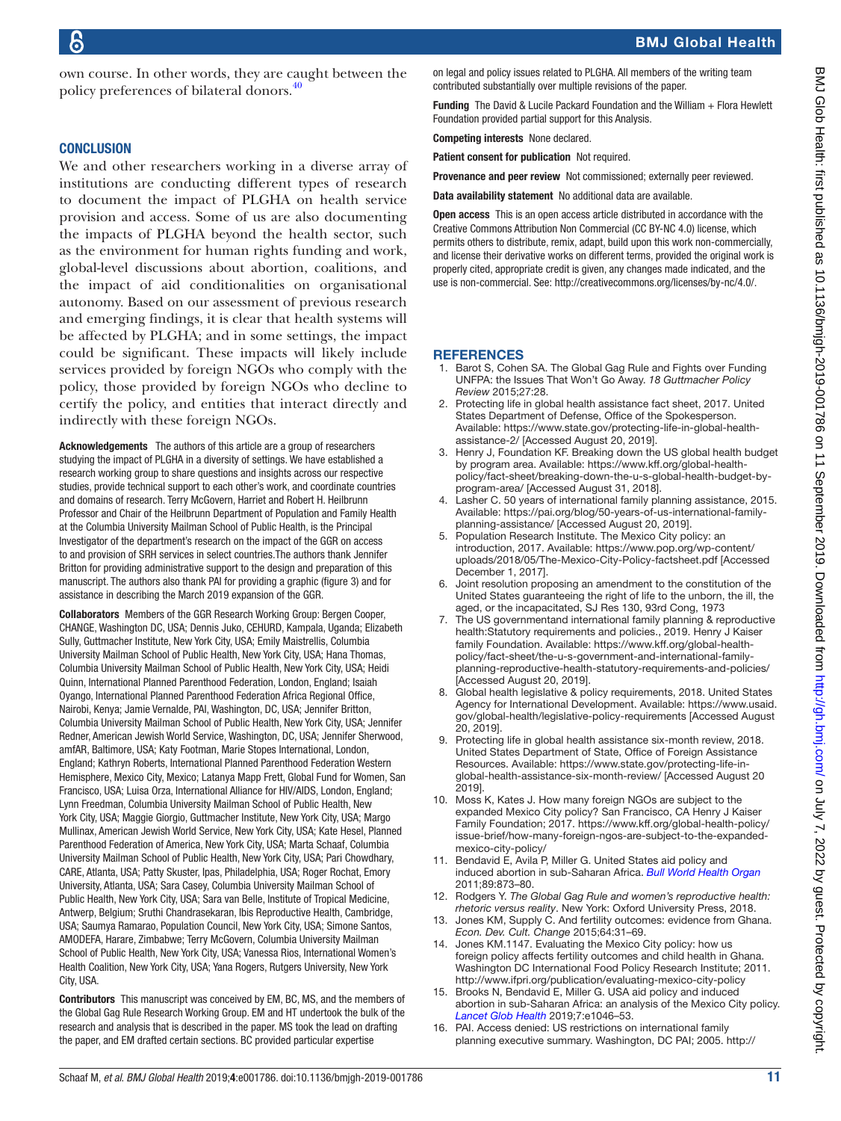own course. In other words, they are caught between the policy preferences of bilateral donors[.40](#page-11-13)

# **CONCLUSION**

We and other researchers working in a diverse array of institutions are conducting different types of research to document the impact of PLGHA on health service provision and access. Some of us are also documenting the impacts of PLGHA beyond the health sector, such as the environment for human rights funding and work, global-level discussions about abortion, coalitions, and the impact of aid conditionalities on organisational autonomy. Based on our assessment of previous research and emerging findings, it is clear that health systems will be affected by PLGHA; and in some settings, the impact could be significant. These impacts will likely include services provided by foreign NGOs who comply with the policy, those provided by foreign NGOs who decline to certify the policy, and entities that interact directly and indirectly with these foreign NGOs.

Acknowledgements The authors of this article are a group of researchers studying the impact of PLGHA in a diversity of settings. We have established a research working group to share questions and insights across our respective studies, provide technical support to each other's work, and coordinate countries and domains of research. Terry McGovern, Harriet and Robert H. Heilbrunn Professor and Chair of the Heilbrunn Department of Population and Family Health at the Columbia University Mailman School of Public Health, is the Principal Investigator of the department's research on the impact of the GGR on access to and provision of SRH services in select countries.The authors thank Jennifer Britton for providing administrative support to the design and preparation of this manuscript. The authors also thank PAI for providing a graphic (figure 3) and for assistance in describing the March 2019 expansion of the GGR.

Collaborators Members of the GGR Research Working Group: Bergen Cooper, CHANGE, Washington DC, USA; Dennis Juko, CEHURD, Kampala, Uganda; Elizabeth Sully, Guttmacher Institute, New York City, USA; Emily Maistrellis, Columbia University Mailman School of Public Health, New York City, USA; Hana Thomas, Columbia University Mailman School of Public Health, New York City, USA; Heidi Quinn, International Planned Parenthood Federation, London, England; Isaiah Oyango, International Planned Parenthood Federation Africa Regional Office, Nairobi, Kenya; Jamie Vernalde, PAI, Washington, DC, USA; Jennifer Britton, Columbia University Mailman School of Public Health, New York City, USA; Jennifer Redner, American Jewish World Service, Washington, DC, USA; Jennifer Sherwood, amfAR, Baltimore, USA; Katy Footman, Marie Stopes International, London, England; Kathryn Roberts, International Planned Parenthood Federation Western Hemisphere, Mexico City, Mexico; Latanya Mapp Frett, Global Fund for Women, San Francisco, USA; Luisa Orza, International Alliance for HIV/AIDS, London, England; Lynn Freedman, Columbia University Mailman School of Public Health, New York City, USA; Maggie Giorgio, Guttmacher Institute, New York City, USA; Margo Mullinax, American Jewish World Service, New York City, USA; Kate Hesel, Planned Parenthood Federation of America, New York City, USA; Marta Schaaf, Columbia University Mailman School of Public Health, New York City, USA; Pari Chowdhary, CARE, Atlanta, USA; Patty Skuster, Ipas, Philadelphia, USA; Roger Rochat, Emory University, Atlanta, USA; Sara Casey, Columbia University Mailman School of Public Health, New York City, USA; Sara van Belle, Institute of Tropical Medicine, Antwerp, Belgium; Sruthi Chandrasekaran, Ibis Reproductive Health, Cambridge, USA; Saumya Ramarao, Population Council, New York City, USA; Simone Santos, AMODEFA, Harare, Zimbabwe; Terry McGovern, Columbia University Mailman School of Public Health, New York City, USA; Vanessa Rios, International Women's Health Coalition, New York City, USA; Yana Rogers, Rutgers University, New York City, USA.

Contributors This manuscript was conceived by EM, BC, MS, and the members of the Global Gag Rule Research Working Group. EM and HT undertook the bulk of the research and analysis that is described in the paper. MS took the lead on drafting the paper, and EM drafted certain sections. BC provided particular expertise

on legal and policy issues related to PLGHA. All members of the writing team contributed substantially over multiple revisions of the paper.

**Funding** The David & Lucile Packard Foundation and the William  $+$  Flora Hewlett Foundation provided partial support for this Analysis.

Competing interests None declared.

Patient consent for publication Not required.

Provenance and peer review Not commissioned; externally peer reviewed.

Data availability statement No additional data are available.

Open access This is an open access article distributed in accordance with the Creative Commons Attribution Non Commercial (CC BY-NC 4.0) license, which permits others to distribute, remix, adapt, build upon this work non-commercially, and license their derivative works on different terms, provided the original work is properly cited, appropriate credit is given, any changes made indicated, and the use is non-commercial. See:<http://creativecommons.org/licenses/by-nc/4.0/>.

### **REFERENCES**

- <span id="page-10-0"></span>1. Barot S, Cohen SA. The Global Gag Rule and Fights over Funding UNFPA: the Issues That Won't Go Away. *18 Guttmacher Policy Review* 2015;27:28.
- <span id="page-10-1"></span>2. Protecting life in global health assistance fact sheet, 2017. United States Department of Defense, Office of the Spokesperson. Available: [https://www.state.gov/protecting-life-in-global-health](https://www.state.gov/protecting-life-in-global-health-assistance-2/)[assistance-2/](https://www.state.gov/protecting-life-in-global-health-assistance-2/) [Accessed August 20, 2019].
- <span id="page-10-2"></span>3. Henry J, Foundation KF. Breaking down the US global health budget by program area. Available: [https://www.kff.org/global-health](https://www.kff.org/global-health-policy/fact-sheet/breaking-down-the-u-s-global-health-budget-by-program-area/)[policy/fact-sheet/breaking-down-the-u-s-global-health-budget-by](https://www.kff.org/global-health-policy/fact-sheet/breaking-down-the-u-s-global-health-budget-by-program-area/)[program-area/](https://www.kff.org/global-health-policy/fact-sheet/breaking-down-the-u-s-global-health-budget-by-program-area/) [Accessed August 31, 2018].
- <span id="page-10-3"></span>Lasher C. 50 years of international family planning assistance, 2015. Available: [https://pai.org/blog/50-years-of-us-international-family](https://pai.org/blog/50-years-of-us-international-family-planning-assistance/)[planning-assistance/](https://pai.org/blog/50-years-of-us-international-family-planning-assistance/) [Accessed August 20, 2019].
- <span id="page-10-4"></span>5. Population Research Institute. The Mexico City policy: an introduction, 2017. Available: [https://www.pop.org/wp-content/](https://www.pop.org/wp-content/uploads/2018/05/The-Mexico-City-Policy-factsheet.pdf) [uploads/2018/05/The-Mexico-City-Policy-factsheet.pdf](https://www.pop.org/wp-content/uploads/2018/05/The-Mexico-City-Policy-factsheet.pdf) [Accessed December 1, 2017].
- <span id="page-10-5"></span>6. Joint resolution proposing an amendment to the constitution of the United States guaranteeing the right of life to the unborn, the ill, the aged, or the incapacitated, SJ Res 130, 93rd Cong, 1973
- <span id="page-10-6"></span>7. The US governmentand international family planning & reproductive health:Statutory requirements and policies., 2019. Henry J Kaiser family Foundation. Available: [https://www.kff.org/global-health](https://www.kff.org/global-health-policy/fact-sheet/the-u-s-government-and-international-family-planning-reproductive-health-statutory-requirements-and-policies/)[policy/fact-sheet/the-u-s-government-and-international-family](https://www.kff.org/global-health-policy/fact-sheet/the-u-s-government-and-international-family-planning-reproductive-health-statutory-requirements-and-policies/)[planning-reproductive-health-statutory-requirements-and-policies/](https://www.kff.org/global-health-policy/fact-sheet/the-u-s-government-and-international-family-planning-reproductive-health-statutory-requirements-and-policies/) [Accessed August 20, 2019].
- <span id="page-10-7"></span>8. Global health legislative & policy requirements, 2018. United States Agency for International Development. Available: [https://www.usaid.](https://www.usaid.gov/global-health/legislative-policy-requirements) [gov/global-health/legislative-policy-requirements](https://www.usaid.gov/global-health/legislative-policy-requirements) [Accessed August 20, 2019].
- <span id="page-10-8"></span>Protecting life in global health assistance six-month review, 2018. United States Department of State, Office of Foreign Assistance Resources. Available: [https://www.state.gov/protecting-life-in](https://www.state.gov/protecting-life-in-global-health-assistance-six-month-review/)[global-health-assistance-six-month-review/](https://www.state.gov/protecting-life-in-global-health-assistance-six-month-review/) [Accessed August 20 2019].
- <span id="page-10-9"></span>10. Moss K, Kates J. How many foreign NGOs are subject to the expanded Mexico City policy? San Francisco, CA Henry J Kaiser Family Foundation; 2017. [https://www.kff.org/global-health-policy/](https://www.kff.org/global-health-policy/issue-brief/how-many-foreign-ngos-are-subject-to-the-expanded-mexico-city-policy/) [issue-brief/how-many-foreign-ngos-are-subject-to-the-expanded](https://www.kff.org/global-health-policy/issue-brief/how-many-foreign-ngos-are-subject-to-the-expanded-mexico-city-policy/)[mexico-city-policy/](https://www.kff.org/global-health-policy/issue-brief/how-many-foreign-ngos-are-subject-to-the-expanded-mexico-city-policy/)
- <span id="page-10-10"></span>11. Bendavid E, Avila P, Miller G. United States aid policy and induced abortion in sub-Saharan Africa. *[Bull World Health Organ](http://dx.doi.org/10.2471/BLT.11.091660)* 2011;89:873–80.
- <span id="page-10-11"></span>12. Rodgers Y. *The Global Gag Rule and women's reproductive health: rhetoric versus reality*. New York: Oxford University Press, 2018.
- <span id="page-10-12"></span>13. Jones KM, Supply C. And fertility outcomes: evidence from Ghana. *Econ. Dev. Cult. Change* 2015;64:31–69.
- <span id="page-10-13"></span>14. Jones KM.1147. Evaluating the Mexico City policy: how us foreign policy affects fertility outcomes and child health in Ghana. Washington DC International Food Policy Research Institute; 2011. <http://www.ifpri.org/publication/evaluating-mexico-city-policy>
- <span id="page-10-14"></span>15. Brooks N, Bendavid E, Miller G. USA aid policy and induced abortion in sub-Saharan Africa: an analysis of the Mexico City policy. *[Lancet Glob Health](http://dx.doi.org/10.1016/S2214-109X(19)30267-0)* 2019;7:e1046–53.
- <span id="page-10-15"></span>16. PAI. Access denied: US restrictions on international family planning executive summary. Washington, DC PAI; 2005. [http://](http://trumpglobalgagrule.pai.org/wp-content/uploads/2005/04/Access-Denied-Executive-Summary.pdf)